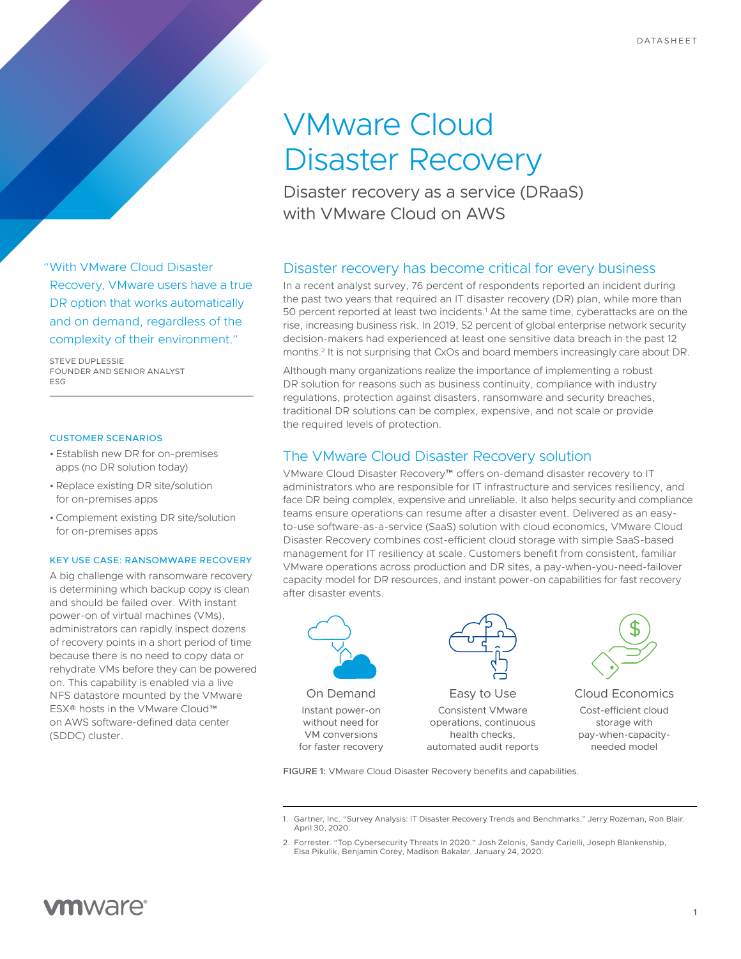# VMware Cloud Disaster Recovery

Disaster recovery as a service (DRaaS) with VMware Cloud on AWS

# Disaster recovery has become critical for every business

In a recent analyst survey, 76 percent of respondents reported an incident during the past two years that required an IT disaster recovery (DR) plan, while more than 50 percent reported at least two incidents.<sup>1</sup> At the same time, cyberattacks are on the rise, increasing business risk. In 2019, 52 percent of global enterprise network security decision-makers had experienced at least one sensitive data breach in the past 12 months.2 It is not surprising that CxOs and board members increasingly care about DR.

Although many organizations realize the importance of implementing a robust DR solution for reasons such as business continuity, compliance with industry regulations, protection against disasters, ransomware and security breaches, traditional DR solutions can be complex, expensive, and not scale or provide the required levels of protection.

# The VMware Cloud Disaster Recovery solution

VMware Cloud Disaster Recovery™ offers on-demand disaster recovery to IT administrators who are responsible for IT infrastructure and services resiliency, and face DR being complex, expensive and unreliable. It also helps security and compliance teams ensure operations can resume after a disaster event. Delivered as an easyto-use software-as-a-service (SaaS) solution with cloud economics, VMware Cloud Disaster Recovery combines cost-efficient cloud storage with simple SaaS-based management for IT resiliency at scale. Customers benefit from consistent, familiar VMware operations across production and DR sites, a pay-when-you-need-failover capacity model for DR resources, and instant power-on capabilities for fast recovery after disaster events.



VM conversions for faster recovery



Easy to Use Consistent VMware operations, continuous health checks, automated audit reports



Cloud Economics Cost-efficient cloud storage with pay-when-capacityneeded model

FIGURE 1: VMware Cloud Disaster Recovery benefits and capabilities.

2. Forrester. "Top Cybersecurity Threats In 2020." Josh Zelonis, Sandy Carielli, Joseph Blankenship, Elsa Pikulik, Benjamin Corey, Madison Bakalar. January 24, 2020.

"With VMware Cloud Disaster Recovery, VMware users have a true DR option that works automatically and on demand, regardless of the complexity of their environment."

STEVE DUPLESSIE FOUNDER AND SENIOR ANALYST ESG

## CUSTOMER SCENARIOS

- Establish new DR for on-premises apps (no DR solution today)
- •Replace existing DR site/solution for on-premises apps
- •Complement existing DR site/solution for on-premises apps

## KEY USE CASE: RANSOMWARE RECOVERY

A big challenge with ransomware recovery is determining which backup copy is clean and should be failed over. With instant power-on of virtual machines (VMs), administrators can rapidly inspect dozens of recovery points in a short period of time because there is no need to copy data or rehydrate VMs before they can be powered on. This capability is enabled via a live NFS datastore mounted by the VMware ESX® hosts in the VMware Cloud™ on AWS software-defined data center (SDDC) cluster.

<sup>1.</sup> Gartner, Inc. "Survey Analysis: IT Disaster Recovery Trends and Benchmarks." Jerry Rozeman, Ron Blair. April 30, 2020.